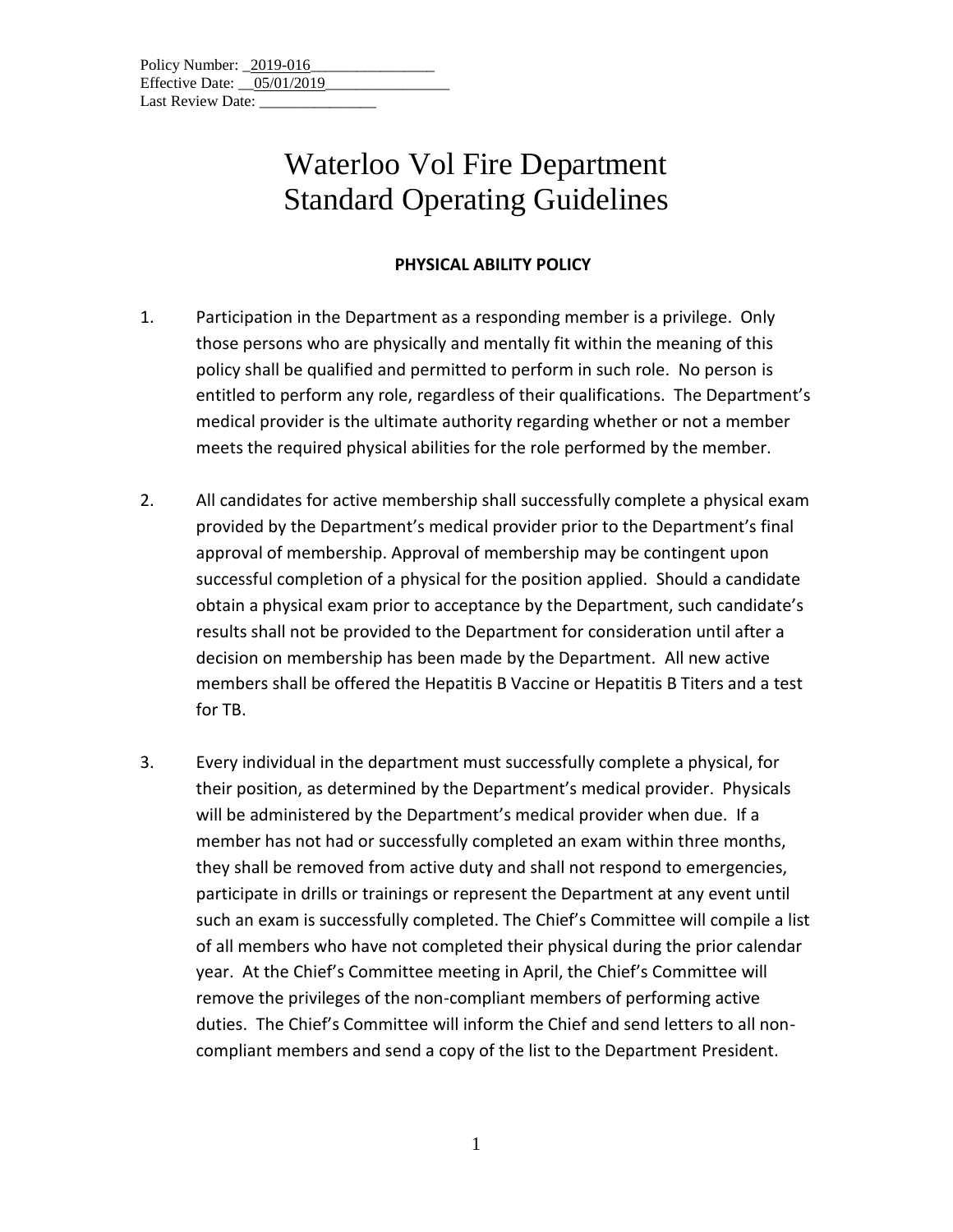| Policy Number: 2019-016      |  |
|------------------------------|--|
| Effective Date: $05/01/2019$ |  |
| Last Review Date:            |  |

### **PHYSICAL ABILITY POLICY**

- 1. Participation in the Department as a responding member is a privilege. Only those persons who are physically and mentally fit within the meaning of this policy shall be qualified and permitted to perform in such role. No person is entitled to perform any role, regardless of their qualifications. The Department's medical provider is the ultimate authority regarding whether or not a member meets the required physical abilities for the role performed by the member.
- 2. All candidates for active membership shall successfully complete a physical exam provided by the Department's medical provider prior to the Department's final approval of membership. Approval of membership may be contingent upon successful completion of a physical for the position applied. Should a candidate obtain a physical exam prior to acceptance by the Department, such candidate's results shall not be provided to the Department for consideration until after a decision on membership has been made by the Department. All new active members shall be offered the Hepatitis B Vaccine or Hepatitis B Titers and a test for TB.
- 3. Every individual in the department must successfully complete a physical, for their position, as determined by the Department's medical provider. Physicals will be administered by the Department's medical provider when due. If a member has not had or successfully completed an exam within three months, they shall be removed from active duty and shall not respond to emergencies, participate in drills or trainings or represent the Department at any event until such an exam is successfully completed. The Chief's Committee will compile a list of all members who have not completed their physical during the prior calendar year. At the Chief's Committee meeting in April, the Chief's Committee will remove the privileges of the non-compliant members of performing active duties. The Chief's Committee will inform the Chief and send letters to all noncompliant members and send a copy of the list to the Department President.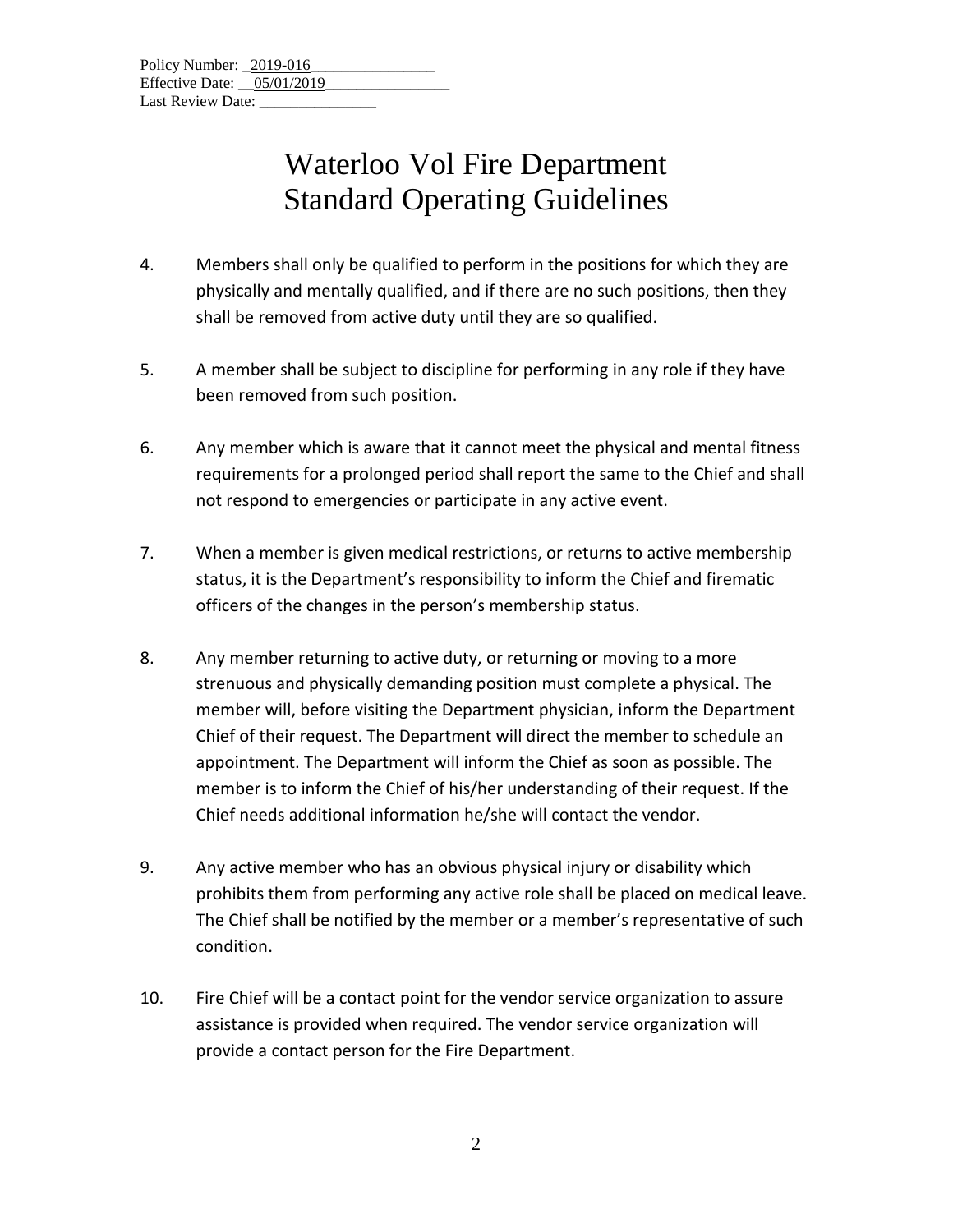- 4. Members shall only be qualified to perform in the positions for which they are physically and mentally qualified, and if there are no such positions, then they shall be removed from active duty until they are so qualified.
- 5. A member shall be subject to discipline for performing in any role if they have been removed from such position.
- 6. Any member which is aware that it cannot meet the physical and mental fitness requirements for a prolonged period shall report the same to the Chief and shall not respond to emergencies or participate in any active event.
- 7. When a member is given medical restrictions, or returns to active membership status, it is the Department's responsibility to inform the Chief and firematic officers of the changes in the person's membership status.
- 8. Any member returning to active duty, or returning or moving to a more strenuous and physically demanding position must complete a physical. The member will, before visiting the Department physician, inform the Department Chief of their request. The Department will direct the member to schedule an appointment. The Department will inform the Chief as soon as possible. The member is to inform the Chief of his/her understanding of their request. If the Chief needs additional information he/she will contact the vendor.
- 9. Any active member who has an obvious physical injury or disability which prohibits them from performing any active role shall be placed on medical leave. The Chief shall be notified by the member or a member's representative of such condition.
- 10. Fire Chief will be a contact point for the vendor service organization to assure assistance is provided when required. The vendor service organization will provide a contact person for the Fire Department.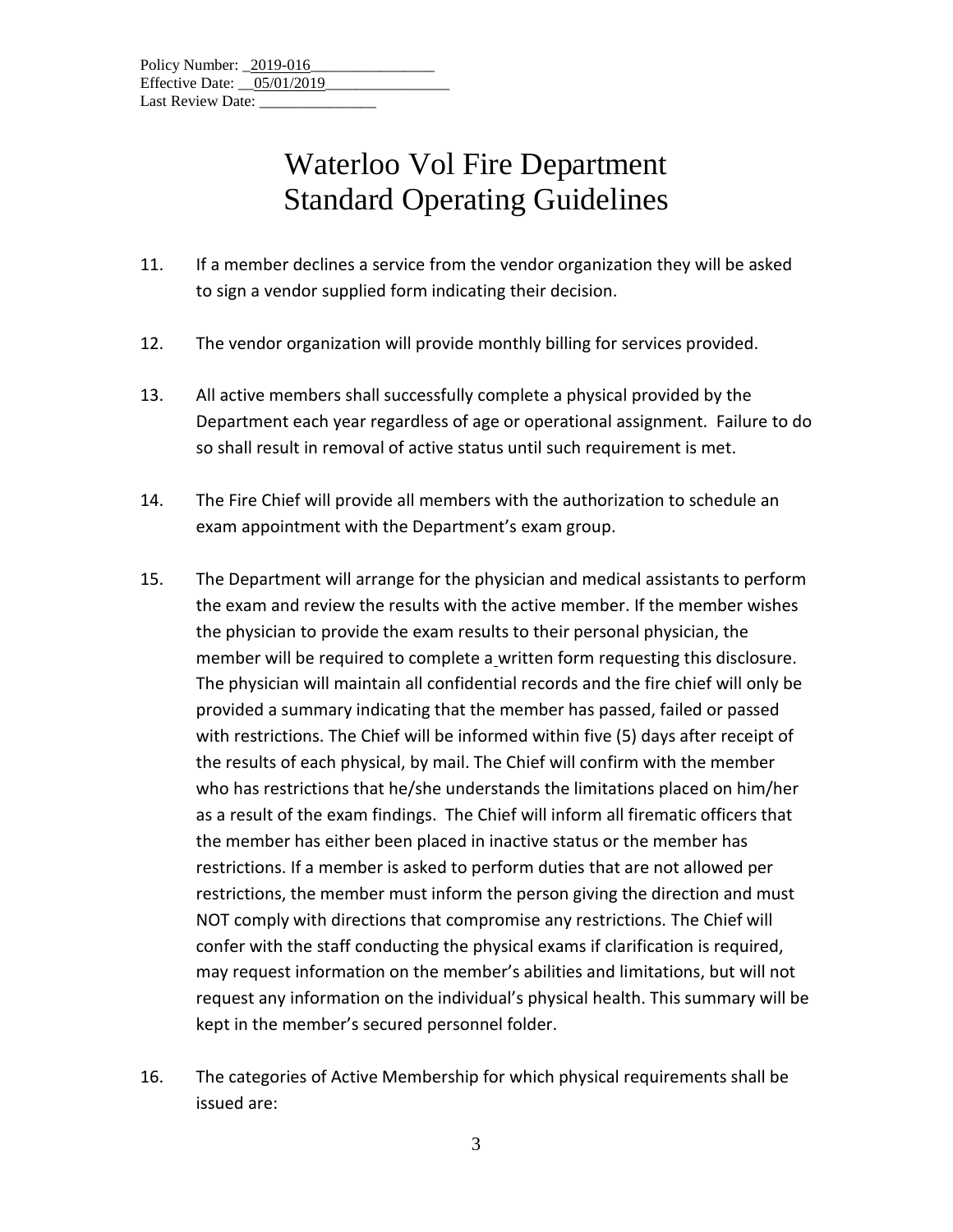- 11. If a member declines a service from the vendor organization they will be asked to sign a vendor supplied form indicating their decision.
- 12. The vendor organization will provide monthly billing for services provided.
- 13. All active members shall successfully complete a physical provided by the Department each year regardless of age or operational assignment. Failure to do so shall result in removal of active status until such requirement is met.
- 14. The Fire Chief will provide all members with the authorization to schedule an exam appointment with the Department's exam group.
- 15. The Department will arrange for the physician and medical assistants to perform the exam and review the results with the active member. If the member wishes the physician to provide the exam results to their personal physician, the member will be required to complete a written form requesting this disclosure. The physician will maintain all confidential records and the fire chief will only be provided a summary indicating that the member has passed, failed or passed with restrictions. The Chief will be informed within five (5) days after receipt of the results of each physical, by mail. The Chief will confirm with the member who has restrictions that he/she understands the limitations placed on him/her as a result of the exam findings. The Chief will inform all firematic officers that the member has either been placed in inactive status or the member has restrictions. If a member is asked to perform duties that are not allowed per restrictions, the member must inform the person giving the direction and must NOT comply with directions that compromise any restrictions. The Chief will confer with the staff conducting the physical exams if clarification is required, may request information on the member's abilities and limitations, but will not request any information on the individual's physical health. This summary will be kept in the member's secured personnel folder.
- 16. The categories of Active Membership for which physical requirements shall be issued are: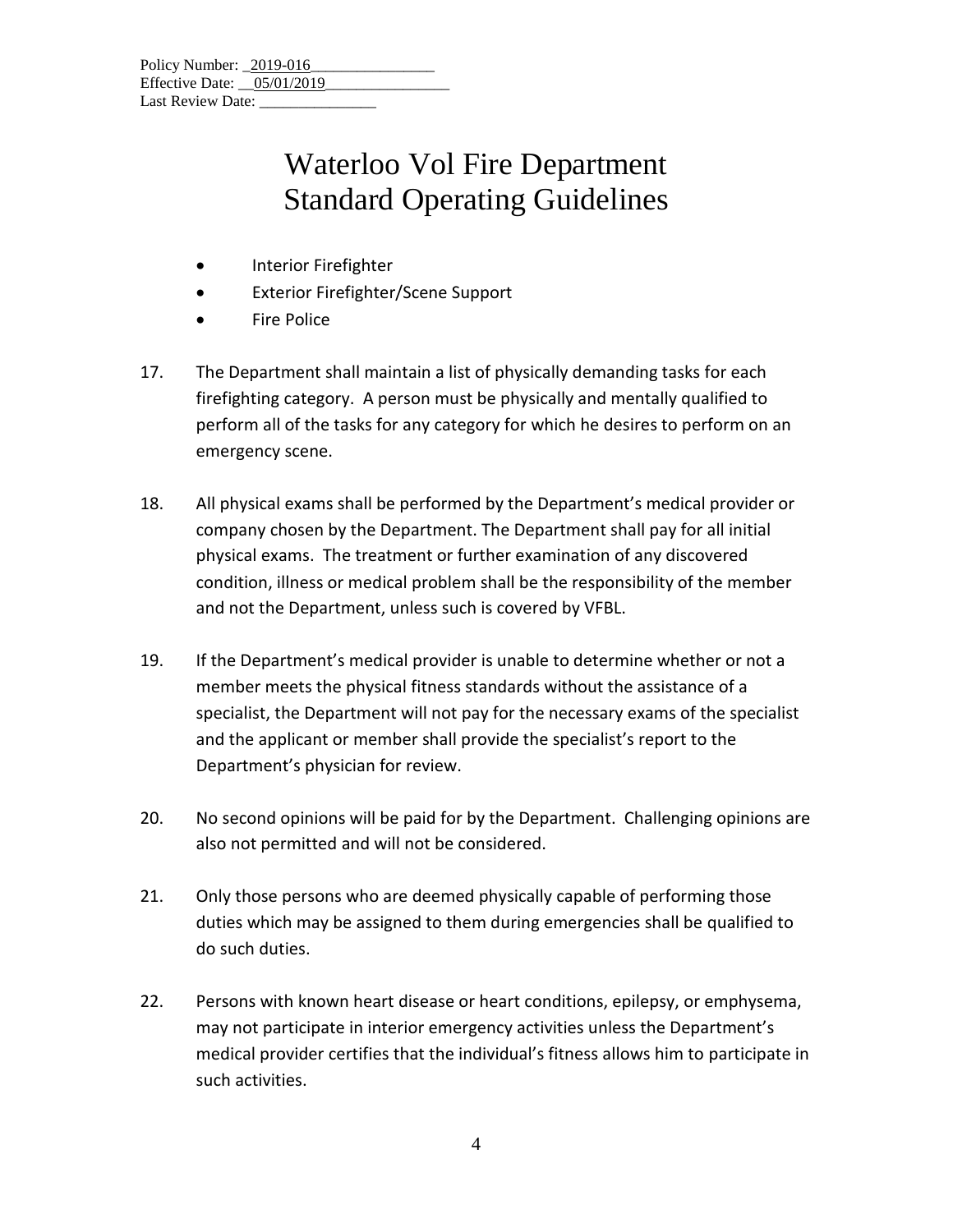| Policy Number: 2019-016      |  |
|------------------------------|--|
| Effective Date: $05/01/2019$ |  |
| Last Review Date:            |  |

- Interior Firefighter
- Exterior Firefighter/Scene Support
- Fire Police
- 17. The Department shall maintain a list of physically demanding tasks for each firefighting category. A person must be physically and mentally qualified to perform all of the tasks for any category for which he desires to perform on an emergency scene.
- 18. All physical exams shall be performed by the Department's medical provider or company chosen by the Department. The Department shall pay for all initial physical exams. The treatment or further examination of any discovered condition, illness or medical problem shall be the responsibility of the member and not the Department, unless such is covered by VFBL.
- 19. If the Department's medical provider is unable to determine whether or not a member meets the physical fitness standards without the assistance of a specialist, the Department will not pay for the necessary exams of the specialist and the applicant or member shall provide the specialist's report to the Department's physician for review.
- 20. No second opinions will be paid for by the Department. Challenging opinions are also not permitted and will not be considered.
- 21. Only those persons who are deemed physically capable of performing those duties which may be assigned to them during emergencies shall be qualified to do such duties.
- 22. Persons with known heart disease or heart conditions, epilepsy, or emphysema, may not participate in interior emergency activities unless the Department's medical provider certifies that the individual's fitness allows him to participate in such activities.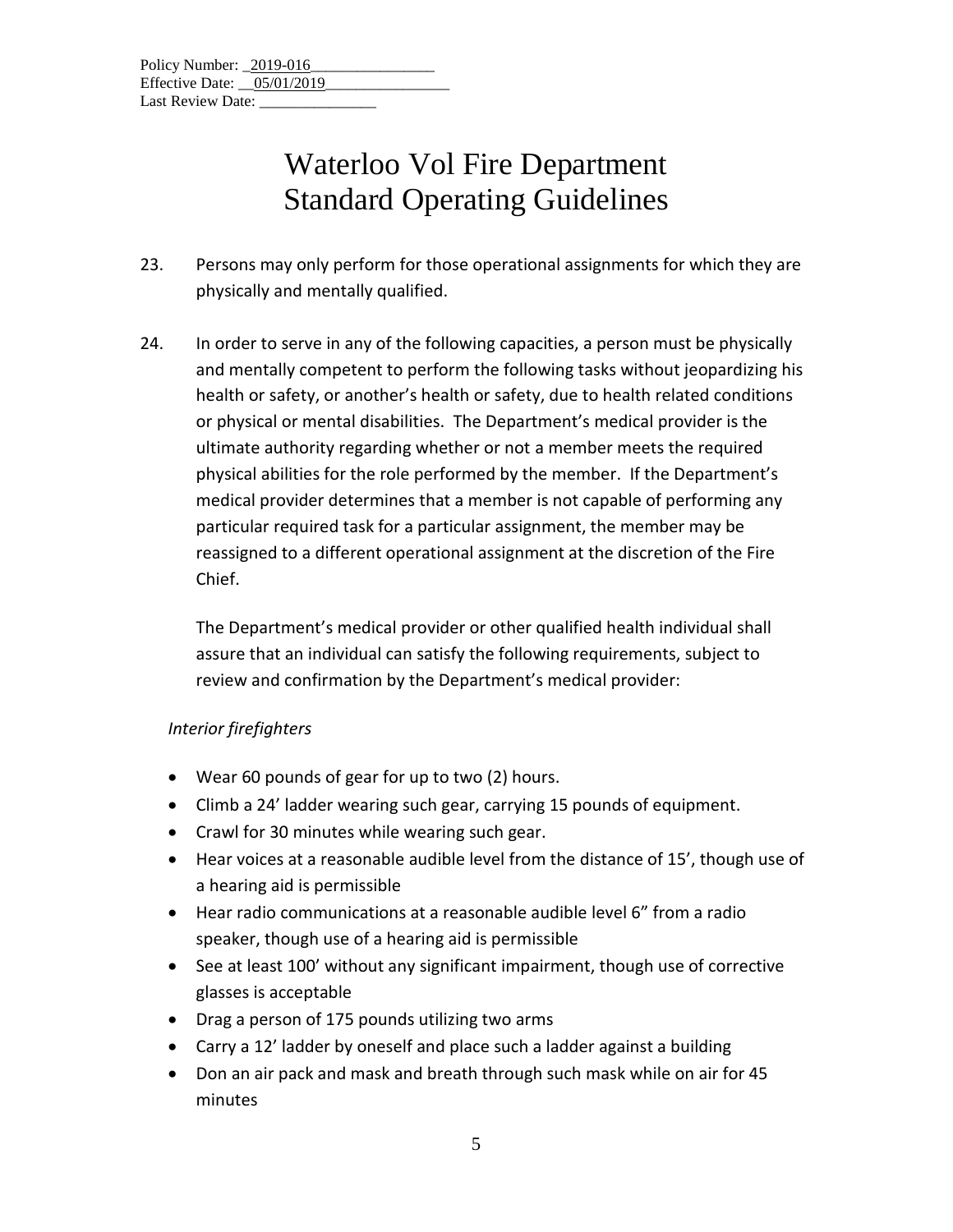- 23. Persons may only perform for those operational assignments for which they are physically and mentally qualified.
- 24. In order to serve in any of the following capacities, a person must be physically and mentally competent to perform the following tasks without jeopardizing his health or safety, or another's health or safety, due to health related conditions or physical or mental disabilities. The Department's medical provider is the ultimate authority regarding whether or not a member meets the required physical abilities for the role performed by the member. If the Department's medical provider determines that a member is not capable of performing any particular required task for a particular assignment, the member may be reassigned to a different operational assignment at the discretion of the Fire Chief.

The Department's medical provider or other qualified health individual shall assure that an individual can satisfy the following requirements, subject to review and confirmation by the Department's medical provider:

### *Interior firefighters*

- Wear 60 pounds of gear for up to two (2) hours.
- Climb a 24' ladder wearing such gear, carrying 15 pounds of equipment.
- Crawl for 30 minutes while wearing such gear.
- Hear voices at a reasonable audible level from the distance of 15', though use of a hearing aid is permissible
- Hear radio communications at a reasonable audible level 6" from a radio speaker, though use of a hearing aid is permissible
- See at least 100' without any significant impairment, though use of corrective glasses is acceptable
- Drag a person of 175 pounds utilizing two arms
- Carry a 12' ladder by oneself and place such a ladder against a building
- Don an air pack and mask and breath through such mask while on air for 45 minutes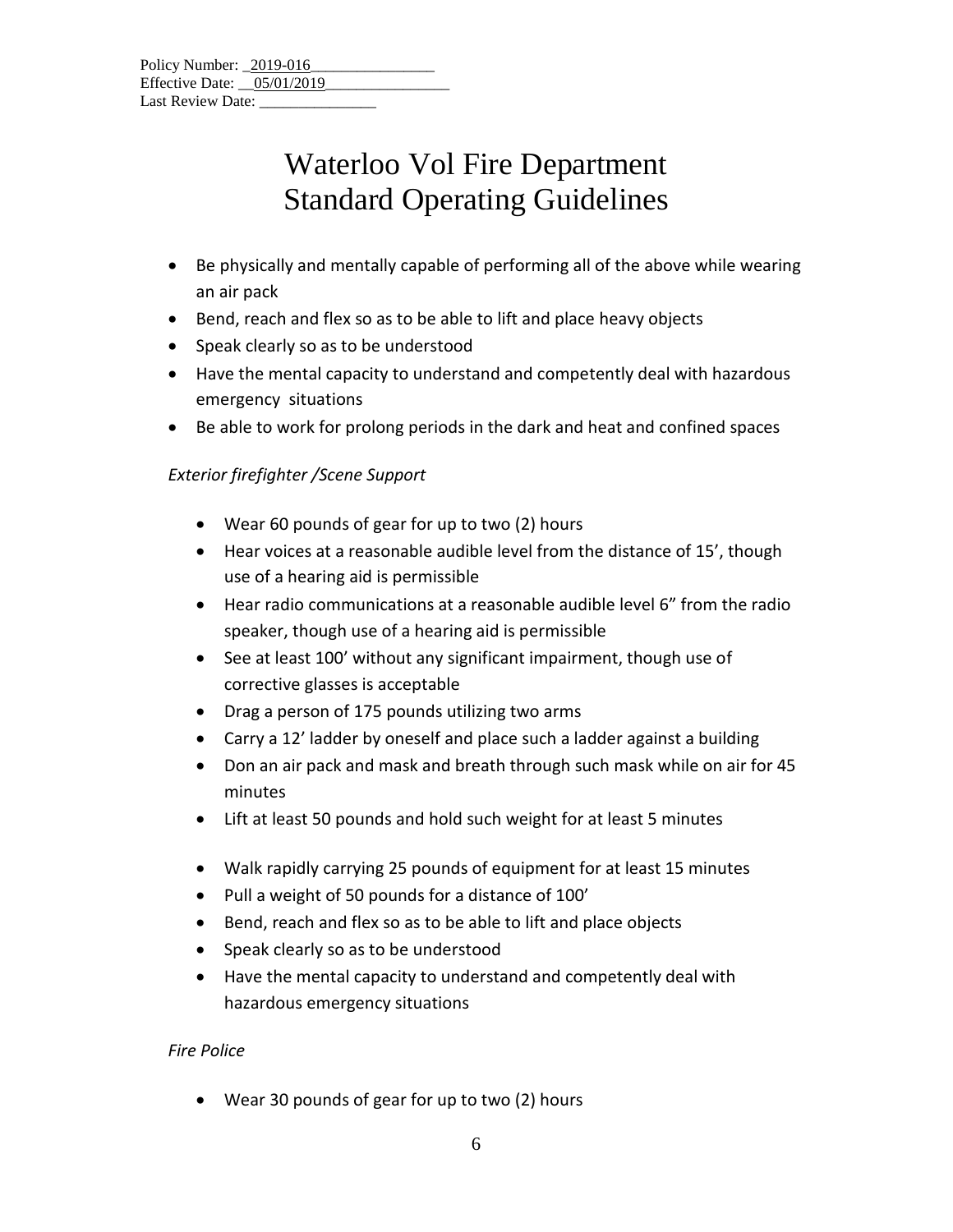| Policy Number: 2019-016      |  |
|------------------------------|--|
| Effective Date: $05/01/2019$ |  |
| Last Review Date:            |  |

- Be physically and mentally capable of performing all of the above while wearing an air pack
- Bend, reach and flex so as to be able to lift and place heavy objects
- Speak clearly so as to be understood
- Have the mental capacity to understand and competently deal with hazardous emergency situations
- Be able to work for prolong periods in the dark and heat and confined spaces

### *Exterior firefighter /Scene Support*

- Wear 60 pounds of gear for up to two (2) hours
- Hear voices at a reasonable audible level from the distance of 15', though use of a hearing aid is permissible
- Hear radio communications at a reasonable audible level 6" from the radio speaker, though use of a hearing aid is permissible
- See at least 100' without any significant impairment, though use of corrective glasses is acceptable
- Drag a person of 175 pounds utilizing two arms
- Carry a 12' ladder by oneself and place such a ladder against a building
- Don an air pack and mask and breath through such mask while on air for 45 minutes
- Lift at least 50 pounds and hold such weight for at least 5 minutes
- Walk rapidly carrying 25 pounds of equipment for at least 15 minutes
- Pull a weight of 50 pounds for a distance of 100'
- Bend, reach and flex so as to be able to lift and place objects
- Speak clearly so as to be understood
- Have the mental capacity to understand and competently deal with hazardous emergency situations

#### *Fire Police*

• Wear 30 pounds of gear for up to two (2) hours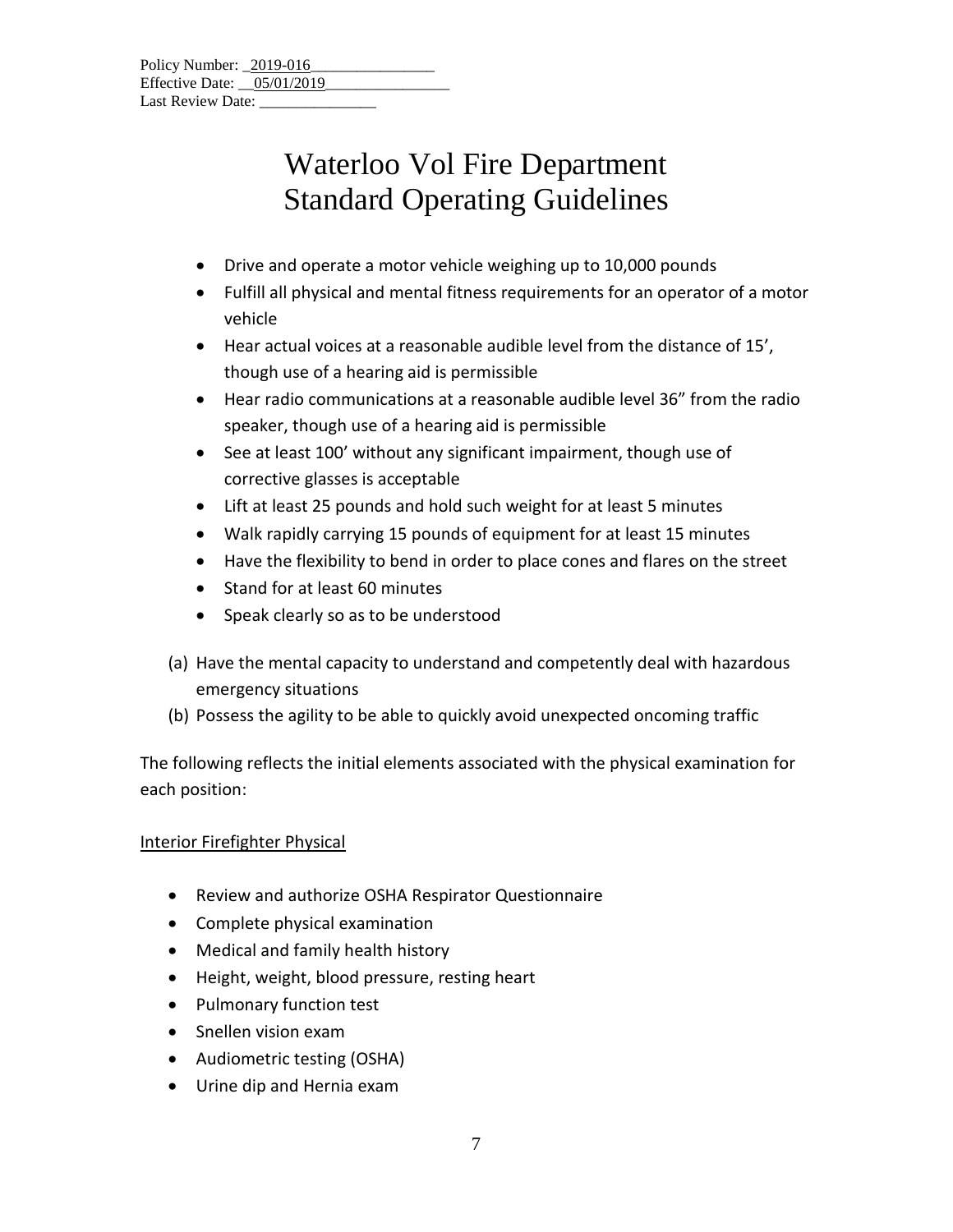| Policy Number: 2019-016    |  |
|----------------------------|--|
| Effective Date: 05/01/2019 |  |
| Last Review Date:          |  |

- Drive and operate a motor vehicle weighing up to 10,000 pounds
- Fulfill all physical and mental fitness requirements for an operator of a motor vehicle
- Hear actual voices at a reasonable audible level from the distance of 15', though use of a hearing aid is permissible
- Hear radio communications at a reasonable audible level 36" from the radio speaker, though use of a hearing aid is permissible
- See at least 100' without any significant impairment, though use of corrective glasses is acceptable
- Lift at least 25 pounds and hold such weight for at least 5 minutes
- Walk rapidly carrying 15 pounds of equipment for at least 15 minutes
- Have the flexibility to bend in order to place cones and flares on the street
- Stand for at least 60 minutes
- Speak clearly so as to be understood
- (a) Have the mental capacity to understand and competently deal with hazardous emergency situations
- (b) Possess the agility to be able to quickly avoid unexpected oncoming traffic

The following reflects the initial elements associated with the physical examination for each position:

### Interior Firefighter Physical

- Review and authorize OSHA Respirator Questionnaire
- Complete physical examination
- Medical and family health history
- Height, weight, blood pressure, resting heart
- Pulmonary function test
- Snellen vision exam
- Audiometric testing (OSHA)
- Urine dip and Hernia exam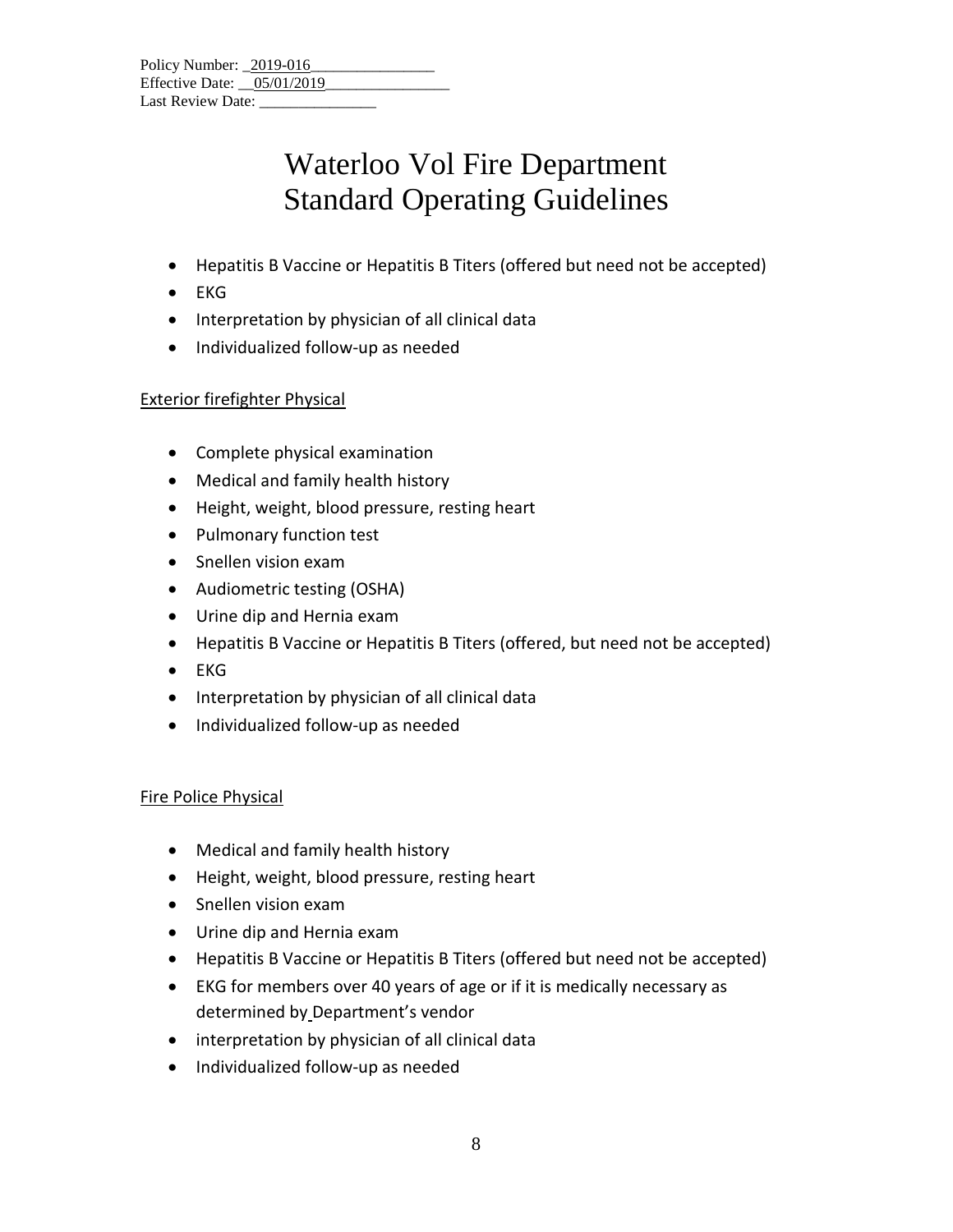| Policy Number: 2019-016      |  |
|------------------------------|--|
| Effective Date: $05/01/2019$ |  |
| Last Review Date:            |  |

- Hepatitis B Vaccine or Hepatitis B Titers (offered but need not be accepted)
- EKG
- Interpretation by physician of all clinical data
- Individualized follow-up as needed

### Exterior firefighter Physical

- Complete physical examination
- Medical and family health history
- Height, weight, blood pressure, resting heart
- Pulmonary function test
- Snellen vision exam
- Audiometric testing (OSHA)
- Urine dip and Hernia exam
- Hepatitis B Vaccine or Hepatitis B Titers (offered, but need not be accepted)
- EKG
- Interpretation by physician of all clinical data
- Individualized follow-up as needed

#### Fire Police Physical

- Medical and family health history
- Height, weight, blood pressure, resting heart
- Snellen vision exam
- Urine dip and Hernia exam
- Hepatitis B Vaccine or Hepatitis B Titers (offered but need not be accepted)
- EKG for members over 40 years of age or if it is medically necessary as determined by Department's vendor
- interpretation by physician of all clinical data
- Individualized follow-up as needed